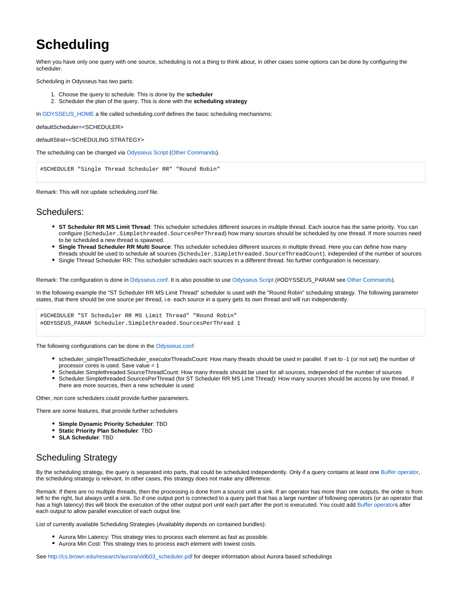## **Scheduling**

When you have only one query with one source, scheduling is not a thing to think about, in other cases some options can be done by configuring the scheduler.

Scheduling in Odysseus has two parts:

- 1. Choose the query to schedule. This is done by the **scheduler**
- 2. Scheduler the plan of the query. This is done with the **scheduling strategy**

In ODYSSEUS HOME a file called scheduling.conf defines the basic scheduling mechanisms:

defaultScheduler=<SCHEDULER>

defaultStrat=<SCHEDULING STRATEGY>

The scheduling can be changed via [Odysseus Script](https://wiki.odysseus.informatik.uni-oldenburg.de/display/ODYSSEUS/Odysseus+Script) [\(Other Commands](https://wiki.odysseus.informatik.uni-oldenburg.de/display/ODYSSEUS/Other+Commands)).

#SCHEDULER "Single Thread Scheduler RR" "Round Robin"

Remark: This will not update scheduling.conf file.

## Schedulers:

- **ST Scheduler RR MS Limit Thread**: This scheduler schedules different sources in multiple thread. Each source has the same priority. You can configure (Scheduler.Simplethreaded.SourcesPerThread) how many sources should be scheduled by one thread. If more sources need to be scheduled a new thread is spawned.
- **Single Thread Scheduler RR Multi Source**: This scheduler schedules different sources in multiple thread. Here you can define how many threads should be used to schedule all sources (Scheduler.Simplethreaded.SourceThreadCount), independed of the number of sources
- Single Thread Scheduler RR: This scheduler schedules each sources in a different thread. No further configuration is necessary.

Remark: The configuration is done in [Odysseus.conf](https://wiki.odysseus.informatik.uni-oldenburg.de/display/ODYSSEUS/Odysseus.conf). It is also possible to use [Odysseus Script](https://wiki.odysseus.informatik.uni-oldenburg.de/display/ODYSSEUS/Odysseus+Script) (#ODYSSEUS\_PARAM see [Other Commands](https://wiki.odysseus.informatik.uni-oldenburg.de/display/ODYSSEUS/Other+Commands)).

In the following example the "ST Scheduler RR MS Limit Thread" scheduler is used with the "Round Robin" scheduling strategy. The following parameter states, that there should be one source per thread, i.e. each source in a query gets its own thread and will run independently.

#SCHEDULER "ST Scheduler RR MS Limit Thread" "Round Robin" #ODYSSEUS\_PARAM Scheduler.Simplethreaded.SourcesPerThread 1

The following configurations can be done in the [Odysseus.conf](https://wiki.odysseus.informatik.uni-oldenburg.de/display/ODYSSEUS/Odysseus.conf):

- scheduler\_simpleThreadScheduler\_executorThreadsCount: How many theads should be used in parallel. If set to -1 (or not set) the number of processor cores is used. Save value = 1
- Scheduler.Simplethreaded.SourceThreadCount: How many threads should be used for all sources, independed of the number of sources
- Scheduler.Simplethreaded.SourcesPerThread (for ST Scheduler RR MS Limit Thread): How many sources should be access by one thread, if there are more sources, then a new scheduler is used

Other, non core schedulers could provide further parameters.

There are some features, that provide further schedulers

- **Simple Dynamic Priority Scheduler**: TBD
- **Static Priority Plan Scheduler**: TBD
- **SLA Scheduler**: TBD

## Scheduling Strategy

By the scheduling strategy, the query is separated into parts, that could be scheduled independently. Only if a query contains at least one [Buffer operator,](https://wiki.odysseus.informatik.uni-oldenburg.de/display/ODYSSEUS/Buffer+operator) the scheduling strategy is relevant. In other cases, this strategy does not make any difference.

Remark: If there are no multiple threads, then the processing is done from a source until a sink. If an operator has more than one outputs, the order is from left to the right, but always until a sink. So if one output port is connected to a query part that has a large number of following operators (or an operator that has a high latency) this will block the execution of the other output port until each part after the port is exeucuted. You could add [Buffer operators](https://wiki.odysseus.informatik.uni-oldenburg.de/display/ODYSSEUS/Buffer+operator) after each output to allow parallel execution of each output line.

List of currently available Scheduling Strategies (Availablity depends on contained bundles):

- Aurora Min Latency: This strategy tries to process each element as fast as possible.
- Aurora Min Cost: This strategy tries to process each element with lowest costs.

See [http://cs.brown.edu/research/aurora/vldb03\\_scheduler.pdf](http://cs.brown.edu/research/aurora/vldb03_scheduler.pdf) for deeper information about Aurora based schedulings